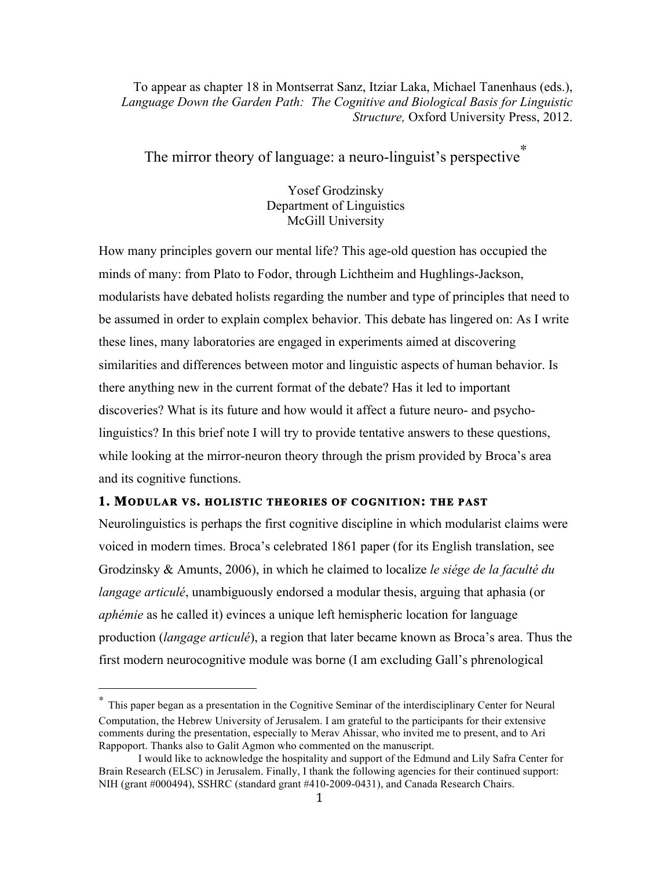To appear as chapter 18 in Montserrat Sanz, Itziar Laka, Michael Tanenhaus (eds.), *Language Down the Garden Path: The Cognitive and Biological Basis for Linguistic Structure,* Oxford University Press, 2012.

# The mirror theory of language: a neuro-linguist's perspective<sup>\*</sup>

Yosef Grodzinsky Department of Linguistics McGill University

How many principles govern our mental life? This age-old question has occupied the minds of many: from Plato to Fodor, through Lichtheim and Hughlings-Jackson, modularists have debated holists regarding the number and type of principles that need to be assumed in order to explain complex behavior. This debate has lingered on: As I write these lines, many laboratories are engaged in experiments aimed at discovering similarities and differences between motor and linguistic aspects of human behavior. Is there anything new in the current format of the debate? Has it led to important discoveries? What is its future and how would it affect a future neuro- and psycholinguistics? In this brief note I will try to provide tentative answers to these questions, while looking at the mirror-neuron theory through the prism provided by Broca's area and its cognitive functions.

## **1. MODULAR VS. HOLISTIC THEORIES OF COGNITION: THE PAST**

 

Neurolinguistics is perhaps the first cognitive discipline in which modularist claims were voiced in modern times. Broca's celebrated 1861 paper (for its English translation, see Grodzinsky & Amunts, 2006), in which he claimed to localize *le siége de la faculté du langage articulé*, unambiguously endorsed a modular thesis, arguing that aphasia (or *aphémie* as he called it) evinces a unique left hemispheric location for language production (*langage articulé*), a region that later became known as Broca's area. Thus the first modern neurocognitive module was borne (I am excluding Gall's phrenological

<sup>∗</sup> This paper began as a presentation in the Cognitive Seminar of the interdisciplinary Center for Neural Computation, the Hebrew University of Jerusalem. I am grateful to the participants for their extensive comments during the presentation, especially to Merav Ahissar, who invited me to present, and to Ari Rappoport. Thanks also to Galit Agmon who commented on the manuscript.

I would like to acknowledge the hospitality and support of the Edmund and Lily Safra Center for Brain Research (ELSC) in Jerusalem. Finally, I thank the following agencies for their continued support: NIH (grant #000494), SSHRC (standard grant #410-2009-0431), and Canada Research Chairs.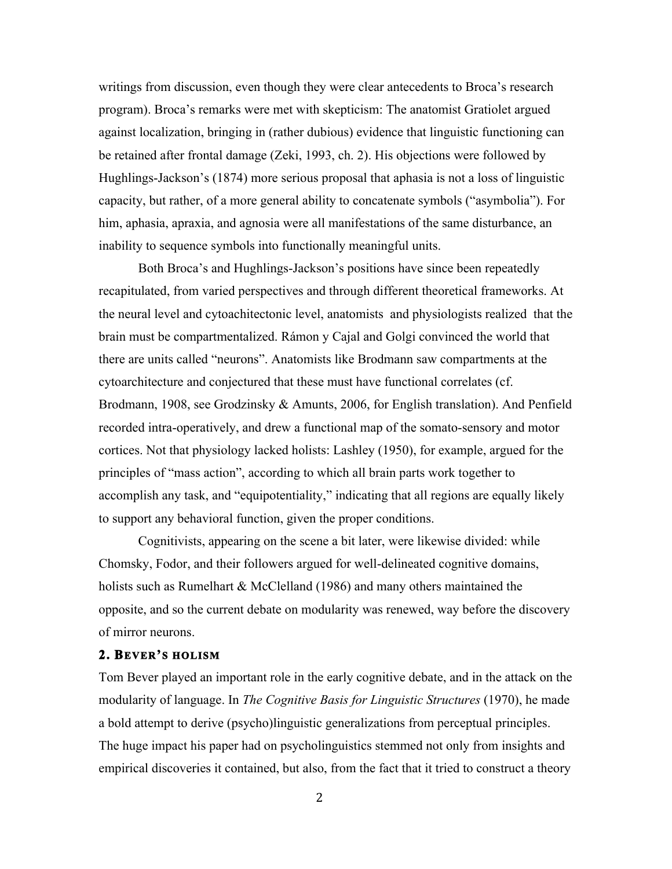writings from discussion, even though they were clear antecedents to Broca's research program). Broca's remarks were met with skepticism: The anatomist Gratiolet argued against localization, bringing in (rather dubious) evidence that linguistic functioning can be retained after frontal damage (Zeki, 1993, ch. 2). His objections were followed by Hughlings-Jackson's (1874) more serious proposal that aphasia is not a loss of linguistic capacity, but rather, of a more general ability to concatenate symbols ("asymbolia"). For him, aphasia, apraxia, and agnosia were all manifestations of the same disturbance, an inability to sequence symbols into functionally meaningful units.

Both Broca's and Hughlings-Jackson's positions have since been repeatedly recapitulated, from varied perspectives and through different theoretical frameworks. At the neural level and cytoachitectonic level, anatomists and physiologists realized that the brain must be compartmentalized. Rámon y Cajal and Golgi convinced the world that there are units called "neurons". Anatomists like Brodmann saw compartments at the cytoarchitecture and conjectured that these must have functional correlates (cf. Brodmann, 1908, see Grodzinsky & Amunts, 2006, for English translation). And Penfield recorded intra-operatively, and drew a functional map of the somato-sensory and motor cortices. Not that physiology lacked holists: Lashley (1950), for example, argued for the principles of "mass action", according to which all brain parts work together to accomplish any task, and "equipotentiality," indicating that all regions are equally likely to support any behavioral function, given the proper conditions.

Cognitivists, appearing on the scene a bit later, were likewise divided: while Chomsky, Fodor, and their followers argued for well-delineated cognitive domains, holists such as Rumelhart & McClelland (1986) and many others maintained the opposite, and so the current debate on modularity was renewed, way before the discovery of mirror neurons.

### **2. BEVER'S HOLISM**

Tom Bever played an important role in the early cognitive debate, and in the attack on the modularity of language. In *The Cognitive Basis for Linguistic Structures* (1970), he made a bold attempt to derive (psycho)linguistic generalizations from perceptual principles. The huge impact his paper had on psycholinguistics stemmed not only from insights and empirical discoveries it contained, but also, from the fact that it tried to construct a theory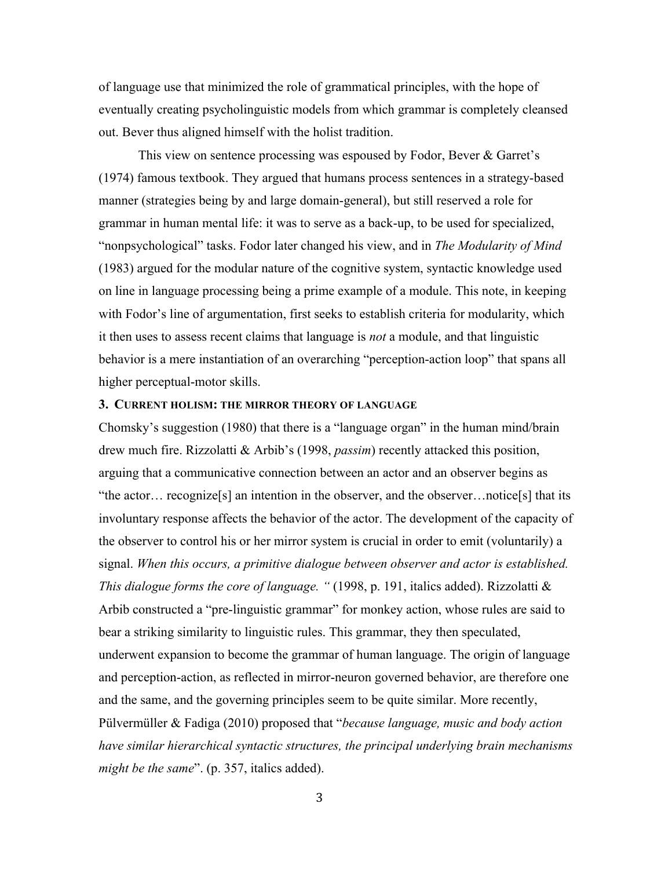of language use that minimized the role of grammatical principles, with the hope of eventually creating psycholinguistic models from which grammar is completely cleansed out. Bever thus aligned himself with the holist tradition.

This view on sentence processing was espoused by Fodor, Bever & Garret's (1974) famous textbook. They argued that humans process sentences in a strategy-based manner (strategies being by and large domain-general), but still reserved a role for grammar in human mental life: it was to serve as a back-up, to be used for specialized, "nonpsychological" tasks. Fodor later changed his view, and in *The Modularity of Mind* (1983) argued for the modular nature of the cognitive system, syntactic knowledge used on line in language processing being a prime example of a module. This note, in keeping with Fodor's line of argumentation, first seeks to establish criteria for modularity, which it then uses to assess recent claims that language is *not* a module, and that linguistic behavior is a mere instantiation of an overarching "perception-action loop" that spans all higher perceptual-motor skills.

### **3. CURRENT HOLISM: THE MIRROR THEORY OF LANGUAGE**

Chomsky's suggestion (1980) that there is a "language organ" in the human mind/brain drew much fire. Rizzolatti & Arbib's (1998, *passim*) recently attacked this position, arguing that a communicative connection between an actor and an observer begins as "the actor… recognize[s] an intention in the observer, and the observer…notice[s] that its involuntary response affects the behavior of the actor. The development of the capacity of the observer to control his or her mirror system is crucial in order to emit (voluntarily) a signal. *When this occurs, a primitive dialogue between observer and actor is established. This dialogue forms the core of language. "* (1998, p. 191, italics added). Rizzolatti & Arbib constructed a "pre-linguistic grammar" for monkey action, whose rules are said to bear a striking similarity to linguistic rules. This grammar, they then speculated, underwent expansion to become the grammar of human language. The origin of language and perception-action, as reflected in mirror-neuron governed behavior, are therefore one and the same, and the governing principles seem to be quite similar. More recently, Pülvermüller & Fadiga (2010) proposed that "*because language, music and body action have similar hierarchical syntactic structures, the principal underlying brain mechanisms might be the same*". (p. 357, italics added).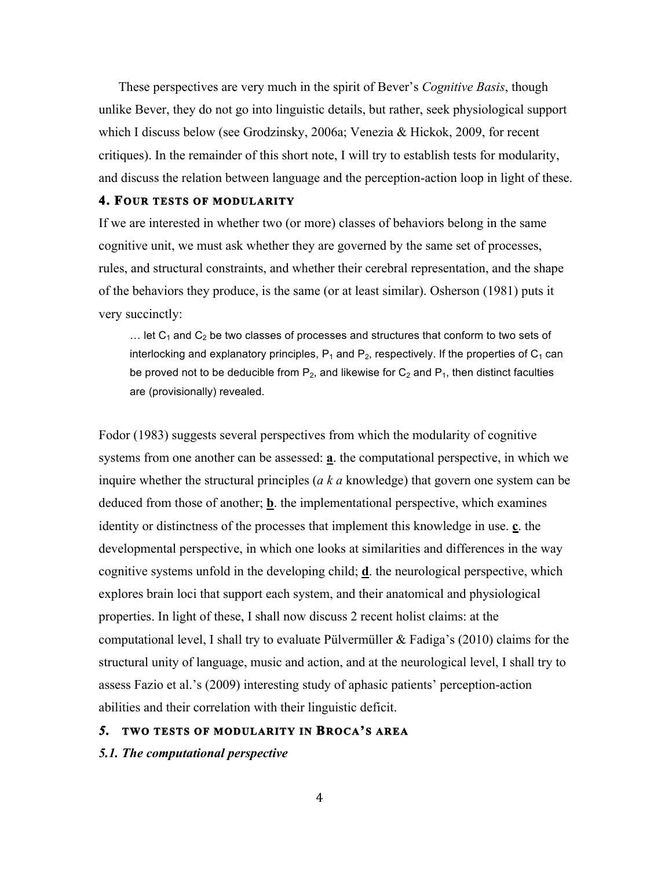These perspectives are very much in the spirit of Bever's *Cognitive Basis*, though unlike Bever, they do not go into linguistic details, but rather, seek physiological support which I discuss below (see Grodzinsky, 2006a; Venezia & Hickok, 2009, for recent critiques). In the remainder of this short note, I will try to establish tests for modularity, and discuss the relation between language and the perception-action loop in light of these.

## **4. FOUR TESTS OF MODULARITY**

If we are interested in whether two (or more) classes of behaviors belong in the same cognitive unit, we must ask whether they are governed by the same set of processes, rules, and structural constraints, and whether their cerebral representation, and the shape of the behaviors they produce, is the same (or at least similar). Osherson (1981) puts it very succinctly:

 $\ldots$  let C<sub>1</sub> and C<sub>2</sub> be two classes of processes and structures that conform to two sets of interlocking and explanatory principles,  $P_1$  and  $P_2$ , respectively. If the properties of  $C_1$  can be proved not to be deducible from  $P_2$ , and likewise for  $C_2$  and  $P_1$ , then distinct faculties are (provisionally) revealed.

Fodor (1983) suggests several perspectives from which the modularity of cognitive systems from one another can be assessed: **a**. the computational perspective, in which we inquire whether the structural principles (*a k a* knowledge) that govern one system can be deduced from those of another; **b**. the implementational perspective, which examines identity or distinctness of the processes that implement this knowledge in use. **c**. the developmental perspective, in which one looks at similarities and differences in the way cognitive systems unfold in the developing child; **d**. the neurological perspective, which explores brain loci that support each system, and their anatomical and physiological properties. In light of these, I shall now discuss 2 recent holist claims: at the computational level, I shall try to evaluate Pülvermüller & Fadiga's (2010) claims for the structural unity of language, music and action, and at the neurological level, I shall try to assess Fazio et al.'s (2009) interesting study of aphasic patients' perception-action abilities and their correlation with their linguistic deficit.

# *5.* **TWO TESTS OF MODULARITY IN BROCA'S AREA**

*5.1. The computational perspective*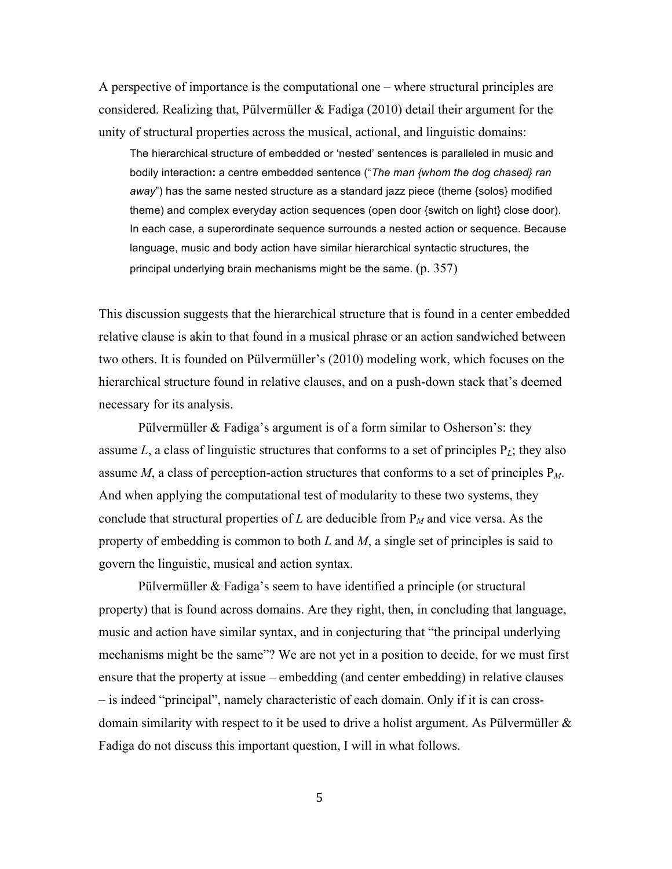A perspective of importance is the computational one – where structural principles are considered. Realizing that, Pülvermüller & Fadiga (2010) detail their argument for the unity of structural properties across the musical, actional, and linguistic domains:

The hierarchical structure of embedded or 'nested' sentences is paralleled in music and bodily interaction**:** a centre embedded sentence ("*The man {whom the dog chased} ran away*") has the same nested structure as a standard jazz piece (theme {solos} modified theme) and complex everyday action sequences (open door {switch on light} close door). In each case, a superordinate sequence surrounds a nested action or sequence. Because language, music and body action have similar hierarchical syntactic structures, the principal underlying brain mechanisms might be the same.  $(p. 357)$ 

This discussion suggests that the hierarchical structure that is found in a center embedded relative clause is akin to that found in a musical phrase or an action sandwiched between two others. It is founded on Pülvermüller's (2010) modeling work, which focuses on the hierarchical structure found in relative clauses, and on a push-down stack that's deemed necessary for its analysis.

Pülvermüller & Fadiga's argument is of a form similar to Osherson's: they assume *L*, a class of linguistic structures that conforms to a set of principles P*L*; they also assume *M*, a class of perception-action structures that conforms to a set of principles  $P_M$ . And when applying the computational test of modularity to these two systems, they conclude that structural properties of  $L$  are deducible from  $P_M$  and vice versa. As the property of embedding is common to both *L* and *M*, a single set of principles is said to govern the linguistic, musical and action syntax.

Pülvermüller & Fadiga's seem to have identified a principle (or structural property) that is found across domains. Are they right, then, in concluding that language, music and action have similar syntax, and in conjecturing that "the principal underlying mechanisms might be the same"? We are not yet in a position to decide, for we must first ensure that the property at issue – embedding (and center embedding) in relative clauses – is indeed "principal", namely characteristic of each domain. Only if it is can crossdomain similarity with respect to it be used to drive a holist argument. As Pülvermüller & Fadiga do not discuss this important question, I will in what follows.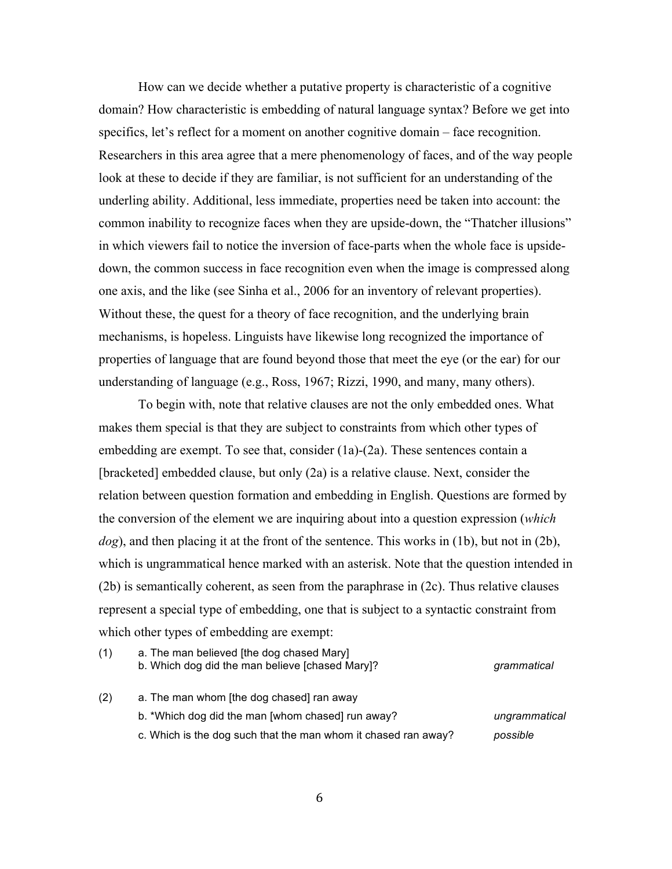How can we decide whether a putative property is characteristic of a cognitive domain? How characteristic is embedding of natural language syntax? Before we get into specifics, let's reflect for a moment on another cognitive domain – face recognition. Researchers in this area agree that a mere phenomenology of faces, and of the way people look at these to decide if they are familiar, is not sufficient for an understanding of the underling ability. Additional, less immediate, properties need be taken into account: the common inability to recognize faces when they are upside-down, the "Thatcher illusions" in which viewers fail to notice the inversion of face-parts when the whole face is upsidedown, the common success in face recognition even when the image is compressed along one axis, and the like (see Sinha et al., 2006 for an inventory of relevant properties). Without these, the quest for a theory of face recognition, and the underlying brain mechanisms, is hopeless. Linguists have likewise long recognized the importance of properties of language that are found beyond those that meet the eye (or the ear) for our understanding of language (e.g., Ross, 1967; Rizzi, 1990, and many, many others).

To begin with, note that relative clauses are not the only embedded ones. What makes them special is that they are subject to constraints from which other types of embedding are exempt. To see that, consider (1a)-(2a). These sentences contain a [bracketed] embedded clause, but only (2a) is a relative clause. Next, consider the relation between question formation and embedding in English. Questions are formed by the conversion of the element we are inquiring about into a question expression (*which dog*), and then placing it at the front of the sentence. This works in (1b), but not in (2b), which is ungrammatical hence marked with an asterisk. Note that the question intended in (2b) is semantically coherent, as seen from the paraphrase in (2c). Thus relative clauses represent a special type of embedding, one that is subject to a syntactic constraint from which other types of embedding are exempt:

| (1) | a. The man believed [the dog chased Mary]<br>b. Which dog did the man believe [chased Mary]? | grammatical   |
|-----|----------------------------------------------------------------------------------------------|---------------|
| (2) | a. The man whom [the dog chased] ran away                                                    |               |
|     | b. *Which dog did the man [whom chased] run away?                                            | ungrammatical |
|     | c. Which is the dog such that the man whom it chased ran away?                               | possible      |
|     |                                                                                              |               |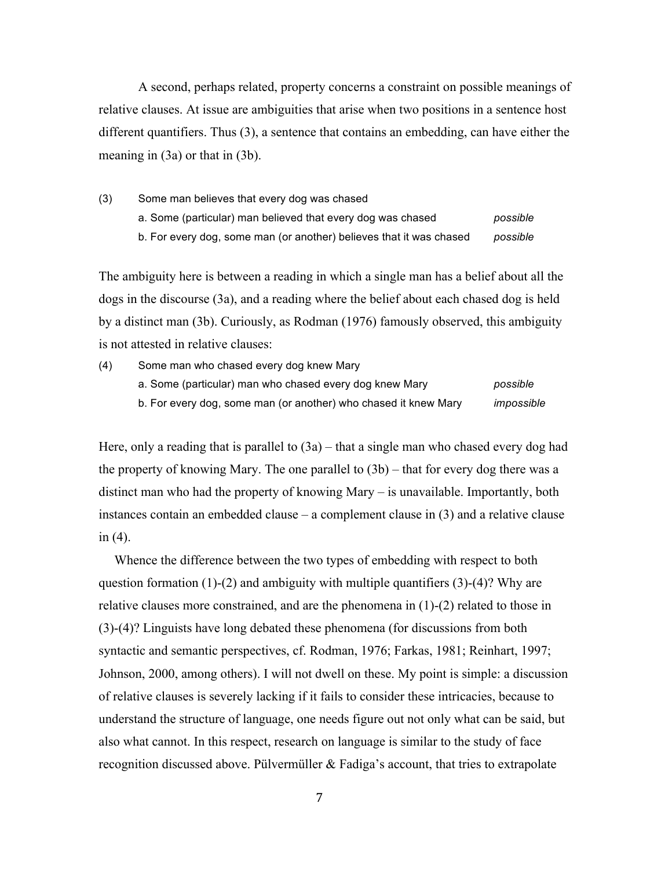A second, perhaps related, property concerns a constraint on possible meanings of relative clauses. At issue are ambiguities that arise when two positions in a sentence host different quantifiers. Thus (3), a sentence that contains an embedding, can have either the meaning in (3a) or that in (3b).

(3) Some man believes that every dog was chased

| a. Some (particular) man believed that every dog was chased         | possible |
|---------------------------------------------------------------------|----------|
| b. For every dog, some man (or another) believes that it was chased | possible |

The ambiguity here is between a reading in which a single man has a belief about all the dogs in the discourse (3a), and a reading where the belief about each chased dog is held by a distinct man (3b). Curiously, as Rodman (1976) famously observed, this ambiguity is not attested in relative clauses:

(4) Some man who chased every dog knew Mary a. Some (particular) man who chased every dog knew Mary *possible* b. For every dog, some man (or another) who chased it knew Mary *impossible*

Here, only a reading that is parallel to  $(3a)$  – that a single man who chased every dog had the property of knowing Mary. The one parallel to (3b) – that for every dog there was a distinct man who had the property of knowing Mary – is unavailable. Importantly, both instances contain an embedded clause  $-$  a complement clause in  $(3)$  and a relative clause in (4).

Whence the difference between the two types of embedding with respect to both question formation  $(1)-(2)$  and ambiguity with multiple quantifiers  $(3)-(4)$ ? Why are relative clauses more constrained, and are the phenomena in (1)-(2) related to those in (3)-(4)? Linguists have long debated these phenomena (for discussions from both syntactic and semantic perspectives, cf. Rodman, 1976; Farkas, 1981; Reinhart, 1997; Johnson, 2000, among others). I will not dwell on these. My point is simple: a discussion of relative clauses is severely lacking if it fails to consider these intricacies, because to understand the structure of language, one needs figure out not only what can be said, but also what cannot. In this respect, research on language is similar to the study of face recognition discussed above. Pülvermüller & Fadiga's account, that tries to extrapolate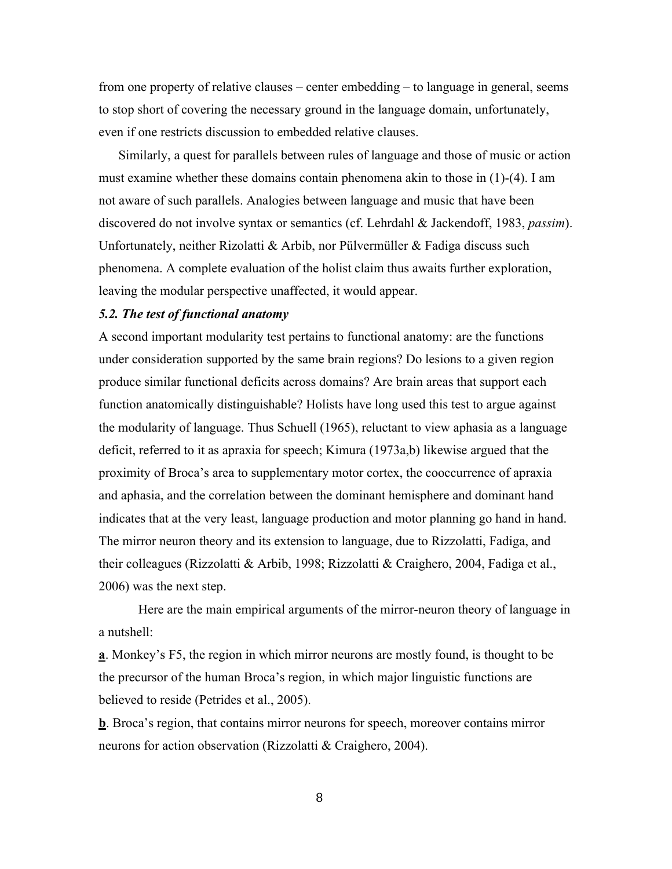from one property of relative clauses – center embedding – to language in general, seems to stop short of covering the necessary ground in the language domain, unfortunately, even if one restricts discussion to embedded relative clauses.

Similarly, a quest for parallels between rules of language and those of music or action must examine whether these domains contain phenomena akin to those in (1)-(4). I am not aware of such parallels. Analogies between language and music that have been discovered do not involve syntax or semantics (cf. Lehrdahl & Jackendoff, 1983, *passim*). Unfortunately, neither Rizolatti & Arbib, nor Pülvermüller & Fadiga discuss such phenomena. A complete evaluation of the holist claim thus awaits further exploration, leaving the modular perspective unaffected, it would appear.

## *5.2. The test of functional anatomy*

A second important modularity test pertains to functional anatomy: are the functions under consideration supported by the same brain regions? Do lesions to a given region produce similar functional deficits across domains? Are brain areas that support each function anatomically distinguishable? Holists have long used this test to argue against the modularity of language. Thus Schuell (1965), reluctant to view aphasia as a language deficit, referred to it as apraxia for speech; Kimura (1973a,b) likewise argued that the proximity of Broca's area to supplementary motor cortex, the cooccurrence of apraxia and aphasia, and the correlation between the dominant hemisphere and dominant hand indicates that at the very least, language production and motor planning go hand in hand. The mirror neuron theory and its extension to language, due to Rizzolatti, Fadiga, and their colleagues (Rizzolatti & Arbib, 1998; Rizzolatti & Craighero, 2004, Fadiga et al., 2006) was the next step.

Here are the main empirical arguments of the mirror-neuron theory of language in a nutshell:

**a**. Monkey's F5, the region in which mirror neurons are mostly found, is thought to be the precursor of the human Broca's region, in which major linguistic functions are believed to reside (Petrides et al., 2005).

**b**. Broca's region, that contains mirror neurons for speech, moreover contains mirror neurons for action observation (Rizzolatti & Craighero, 2004).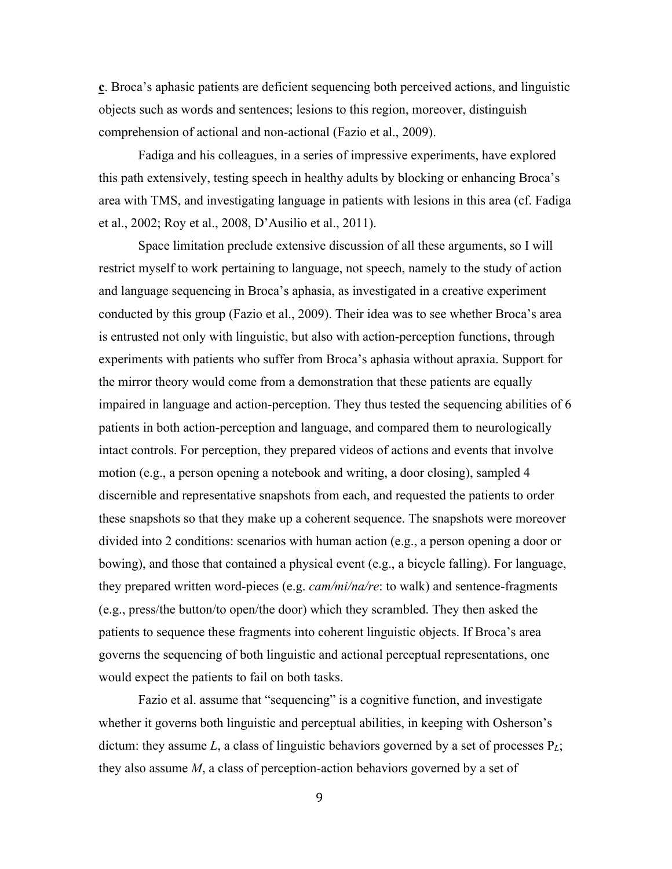**c**. Broca's aphasic patients are deficient sequencing both perceived actions, and linguistic objects such as words and sentences; lesions to this region, moreover, distinguish comprehension of actional and non-actional (Fazio et al., 2009).

Fadiga and his colleagues, in a series of impressive experiments, have explored this path extensively, testing speech in healthy adults by blocking or enhancing Broca's area with TMS, and investigating language in patients with lesions in this area (cf. Fadiga et al., 2002; Roy et al., 2008, D'Ausilio et al., 2011).

Space limitation preclude extensive discussion of all these arguments, so I will restrict myself to work pertaining to language, not speech, namely to the study of action and language sequencing in Broca's aphasia, as investigated in a creative experiment conducted by this group (Fazio et al., 2009). Their idea was to see whether Broca's area is entrusted not only with linguistic, but also with action-perception functions, through experiments with patients who suffer from Broca's aphasia without apraxia. Support for the mirror theory would come from a demonstration that these patients are equally impaired in language and action-perception. They thus tested the sequencing abilities of 6 patients in both action-perception and language, and compared them to neurologically intact controls. For perception, they prepared videos of actions and events that involve motion (e.g., a person opening a notebook and writing, a door closing), sampled 4 discernible and representative snapshots from each, and requested the patients to order these snapshots so that they make up a coherent sequence. The snapshots were moreover divided into 2 conditions: scenarios with human action (e.g., a person opening a door or bowing), and those that contained a physical event (e.g., a bicycle falling). For language, they prepared written word-pieces (e.g. *cam/mi/na/re*: to walk) and sentence-fragments (e.g., press/the button/to open/the door) which they scrambled. They then asked the patients to sequence these fragments into coherent linguistic objects. If Broca's area governs the sequencing of both linguistic and actional perceptual representations, one would expect the patients to fail on both tasks.

Fazio et al. assume that "sequencing" is a cognitive function, and investigate whether it governs both linguistic and perceptual abilities, in keeping with Osherson's dictum: they assume *L*, a class of linguistic behaviors governed by a set of processes P*L*; they also assume *M*, a class of perception-action behaviors governed by a set of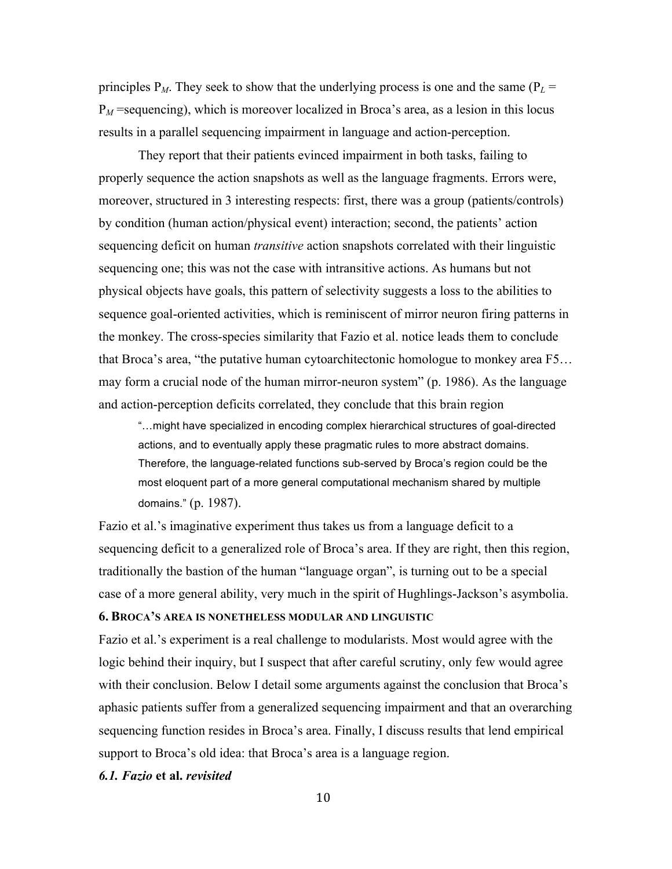principles  $P_M$ . They seek to show that the underlying process is one and the same ( $P_L$  =  $P_M$  =sequencing), which is moreover localized in Broca's area, as a lesion in this locus results in a parallel sequencing impairment in language and action-perception.

They report that their patients evinced impairment in both tasks, failing to properly sequence the action snapshots as well as the language fragments. Errors were, moreover, structured in 3 interesting respects: first, there was a group (patients/controls) by condition (human action/physical event) interaction; second, the patients' action sequencing deficit on human *transitive* action snapshots correlated with their linguistic sequencing one; this was not the case with intransitive actions. As humans but not physical objects have goals, this pattern of selectivity suggests a loss to the abilities to sequence goal-oriented activities, which is reminiscent of mirror neuron firing patterns in the monkey. The cross-species similarity that Fazio et al. notice leads them to conclude that Broca's area, "the putative human cytoarchitectonic homologue to monkey area F5… may form a crucial node of the human mirror-neuron system" (p. 1986). As the language and action-perception deficits correlated, they conclude that this brain region

"…might have specialized in encoding complex hierarchical structures of goal-directed actions, and to eventually apply these pragmatic rules to more abstract domains. Therefore, the language-related functions sub-served by Broca's region could be the most eloquent part of a more general computational mechanism shared by multiple domains." (p. 1987).

Fazio et al.'s imaginative experiment thus takes us from a language deficit to a sequencing deficit to a generalized role of Broca's area. If they are right, then this region, traditionally the bastion of the human "language organ", is turning out to be a special case of a more general ability, very much in the spirit of Hughlings-Jackson's asymbolia.

## **6. BROCA'S AREA IS NONETHELESS MODULAR AND LINGUISTIC**

Fazio et al.'s experiment is a real challenge to modularists. Most would agree with the logic behind their inquiry, but I suspect that after careful scrutiny, only few would agree with their conclusion. Below I detail some arguments against the conclusion that Broca's aphasic patients suffer from a generalized sequencing impairment and that an overarching sequencing function resides in Broca's area. Finally, I discuss results that lend empirical support to Broca's old idea: that Broca's area is a language region.

### *6.1. Fazio* **et al.** *revisited*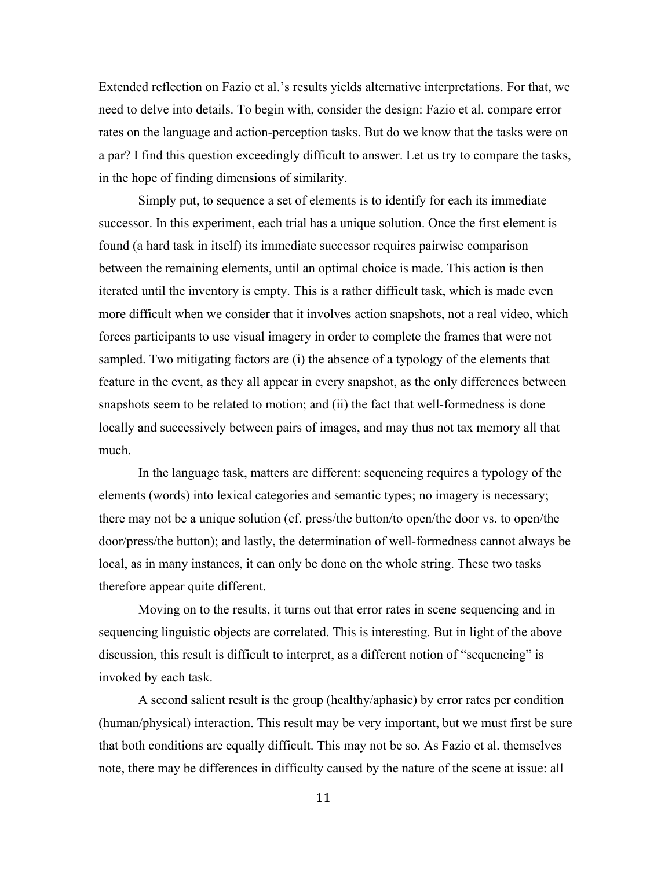Extended reflection on Fazio et al.'s results yields alternative interpretations. For that, we need to delve into details. To begin with, consider the design: Fazio et al. compare error rates on the language and action-perception tasks. But do we know that the tasks were on a par? I find this question exceedingly difficult to answer. Let us try to compare the tasks, in the hope of finding dimensions of similarity.

Simply put, to sequence a set of elements is to identify for each its immediate successor. In this experiment, each trial has a unique solution. Once the first element is found (a hard task in itself) its immediate successor requires pairwise comparison between the remaining elements, until an optimal choice is made. This action is then iterated until the inventory is empty. This is a rather difficult task, which is made even more difficult when we consider that it involves action snapshots, not a real video, which forces participants to use visual imagery in order to complete the frames that were not sampled. Two mitigating factors are (i) the absence of a typology of the elements that feature in the event, as they all appear in every snapshot, as the only differences between snapshots seem to be related to motion; and (ii) the fact that well-formedness is done locally and successively between pairs of images, and may thus not tax memory all that much.

In the language task, matters are different: sequencing requires a typology of the elements (words) into lexical categories and semantic types; no imagery is necessary; there may not be a unique solution (cf. press/the button/to open/the door vs. to open/the door/press/the button); and lastly, the determination of well-formedness cannot always be local, as in many instances, it can only be done on the whole string. These two tasks therefore appear quite different.

Moving on to the results, it turns out that error rates in scene sequencing and in sequencing linguistic objects are correlated. This is interesting. But in light of the above discussion, this result is difficult to interpret, as a different notion of "sequencing" is invoked by each task.

A second salient result is the group (healthy/aphasic) by error rates per condition (human/physical) interaction. This result may be very important, but we must first be sure that both conditions are equally difficult. This may not be so. As Fazio et al. themselves note, there may be differences in difficulty caused by the nature of the scene at issue: all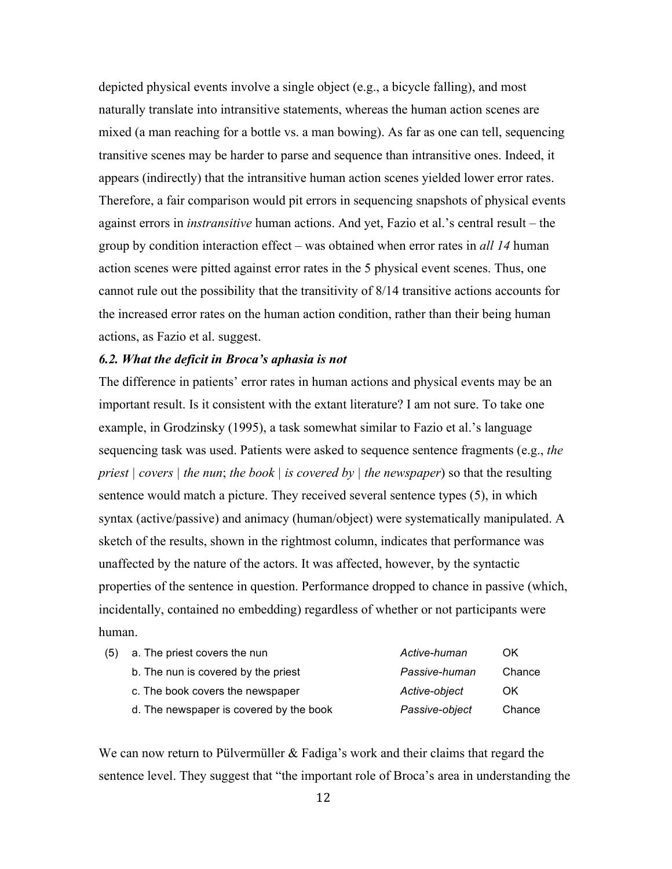depicted physical events involve a single object (e.g., a bicycle falling), and most naturally translate into intransitive statements, whereas the human action scenes are mixed (a man reaching for a bottle vs. a man bowing). As far as one can tell, sequencing transitive scenes may be harder to parse and sequence than intransitive ones. Indeed, it appears (indirectly) that the intransitive human action scenes yielded lower error rates. Therefore, a fair comparison would pit errors in sequencing snapshots of physical events against errors in *instransitive* human actions. And yet, Fazio et al.'s central result – the group by condition interaction effect – was obtained when error rates in *all 14* human action scenes were pitted against error rates in the 5 physical event scenes. Thus, one cannot rule out the possibility that the transitivity of 8/14 transitive actions accounts for the increased error rates on the human action condition, rather than their being human actions, as Fazio et al. suggest.

## *6.2. What the deficit in Broca's aphasia is not*

The difference in patients' error rates in human actions and physical events may be an important result. Is it consistent with the extant literature? I am not sure. To take one example, in Grodzinsky (1995), a task somewhat similar to Fazio et al.'s language sequencing task was used. Patients were asked to sequence sentence fragments (e.g., *the priest | covers | the nun*; *the book | is covered by | the newspaper*) so that the resulting sentence would match a picture. They received several sentence types (5), in which syntax (active/passive) and animacy (human/object) were systematically manipulated. A sketch of the results, shown in the rightmost column, indicates that performance was unaffected by the nature of the actors. It was affected, however, by the syntactic properties of the sentence in question. Performance dropped to chance in passive (which, incidentally, contained no embedding) regardless of whether or not participants were human.

| (5) | a. The priest covers the nun            | Active-human   | OK     |
|-----|-----------------------------------------|----------------|--------|
|     | b. The nun is covered by the priest     | Passive-human  | Chance |
|     | c. The book covers the newspaper        | Active-object  | OK.    |
|     | d. The newspaper is covered by the book | Passive-object | Chance |

We can now return to Pülvermüller  $\&$  Fadiga's work and their claims that regard the sentence level. They suggest that "the important role of Broca's area in understanding the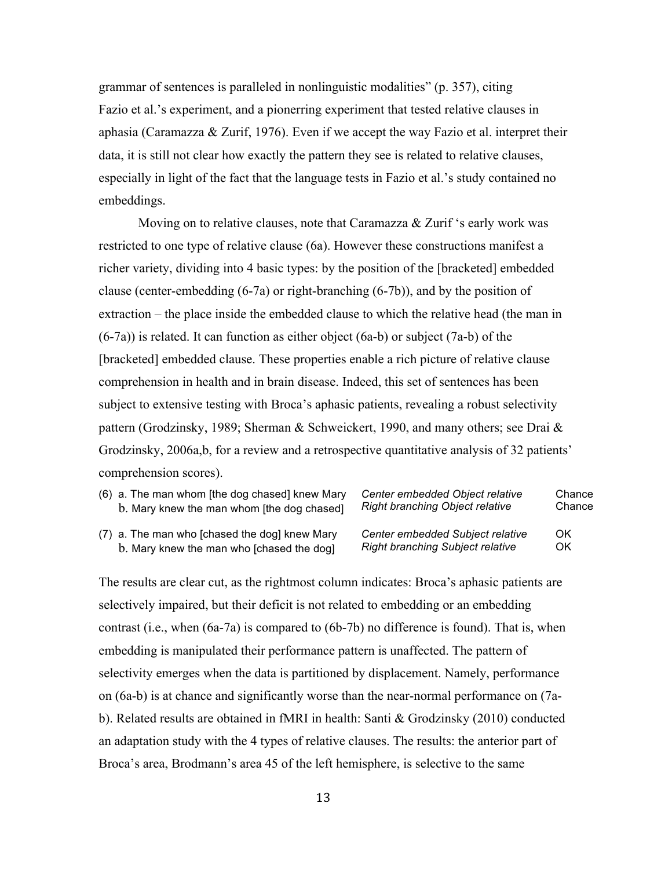grammar of sentences is paralleled in nonlinguistic modalities" (p. 357), citing Fazio et al.'s experiment, and a pionerring experiment that tested relative clauses in aphasia (Caramazza & Zurif, 1976). Even if we accept the way Fazio et al. interpret their data, it is still not clear how exactly the pattern they see is related to relative clauses, especially in light of the fact that the language tests in Fazio et al.'s study contained no embeddings.

Moving on to relative clauses, note that Caramazza & Zurif 's early work was restricted to one type of relative clause (6a). However these constructions manifest a richer variety, dividing into 4 basic types: by the position of the [bracketed] embedded clause (center-embedding (6-7a) or right-branching (6-7b)), and by the position of extraction – the place inside the embedded clause to which the relative head (the man in  $(6-7a)$ ) is related. It can function as either object  $(6a-b)$  or subject  $(7a-b)$  of the [bracketed] embedded clause. These properties enable a rich picture of relative clause comprehension in health and in brain disease. Indeed, this set of sentences has been subject to extensive testing with Broca's aphasic patients, revealing a robust selectivity pattern (Grodzinsky, 1989; Sherman & Schweickert, 1990, and many others; see Drai & Grodzinsky, 2006a,b, for a review and a retrospective quantitative analysis of 32 patients' comprehension scores).

| (6) a. The man whom [the dog chased] knew Mary | Center embedded Object relative         | Chance |
|------------------------------------------------|-----------------------------------------|--------|
| b. Mary knew the man whom [the dog chased]     | <b>Right branching Object relative</b>  | Chance |
| (7) a. The man who [chased the dog] knew Mary  | Center embedded Subject relative        | OK     |
| b. Mary knew the man who [chased the dog]      | <b>Right branching Subject relative</b> | OK     |

The results are clear cut, as the rightmost column indicates: Broca's aphasic patients are selectively impaired, but their deficit is not related to embedding or an embedding contrast (i.e., when (6a-7a) is compared to (6b-7b) no difference is found). That is, when embedding is manipulated their performance pattern is unaffected. The pattern of selectivity emerges when the data is partitioned by displacement. Namely, performance on (6a-b) is at chance and significantly worse than the near-normal performance on (7ab). Related results are obtained in fMRI in health: Santi & Grodzinsky (2010) conducted an adaptation study with the 4 types of relative clauses. The results: the anterior part of Broca's area, Brodmann's area 45 of the left hemisphere, is selective to the same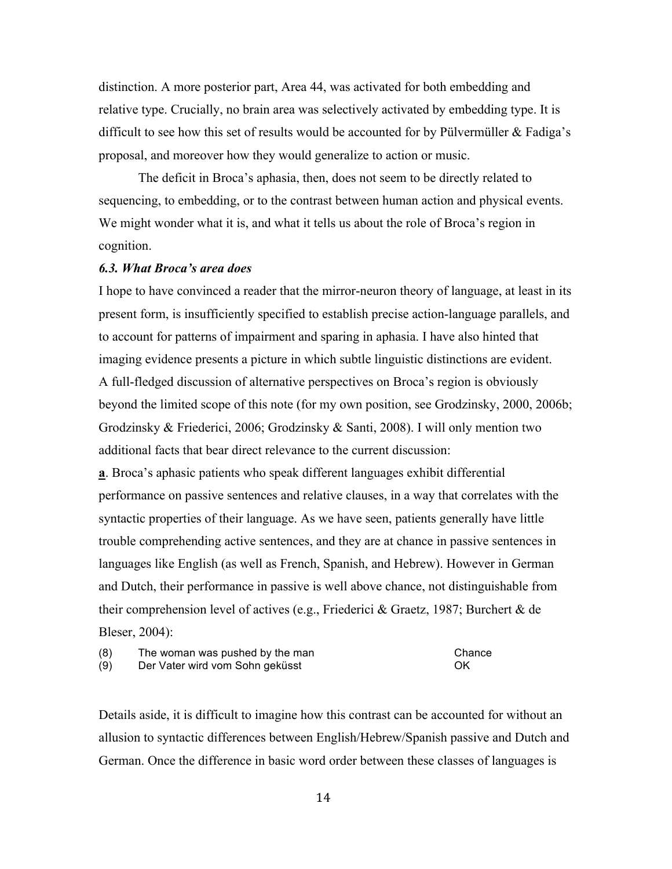distinction. A more posterior part, Area 44, was activated for both embedding and relative type. Crucially, no brain area was selectively activated by embedding type. It is difficult to see how this set of results would be accounted for by Pülvermüller  $&$  Fadiga's proposal, and moreover how they would generalize to action or music.

The deficit in Broca's aphasia, then, does not seem to be directly related to sequencing, to embedding, or to the contrast between human action and physical events. We might wonder what it is, and what it tells us about the role of Broca's region in cognition.

### *6.3. What Broca's area does*

I hope to have convinced a reader that the mirror-neuron theory of language, at least in its present form, is insufficiently specified to establish precise action-language parallels, and to account for patterns of impairment and sparing in aphasia. I have also hinted that imaging evidence presents a picture in which subtle linguistic distinctions are evident. A full-fledged discussion of alternative perspectives on Broca's region is obviously beyond the limited scope of this note (for my own position, see Grodzinsky, 2000, 2006b; Grodzinsky & Friederici, 2006; Grodzinsky & Santi, 2008). I will only mention two additional facts that bear direct relevance to the current discussion:

**a**. Broca's aphasic patients who speak different languages exhibit differential performance on passive sentences and relative clauses, in a way that correlates with the syntactic properties of their language. As we have seen, patients generally have little trouble comprehending active sentences, and they are at chance in passive sentences in languages like English (as well as French, Spanish, and Hebrew). However in German and Dutch, their performance in passive is well above chance, not distinguishable from their comprehension level of actives (e.g., Friederici & Graetz, 1987; Burchert & de Bleser, 2004):

| (8) | The woman was pushed by the man | Chance |
|-----|---------------------------------|--------|
| (9) | Der Vater wird vom Sohn geküsst | .OK    |

Details aside, it is difficult to imagine how this contrast can be accounted for without an allusion to syntactic differences between English/Hebrew/Spanish passive and Dutch and German. Once the difference in basic word order between these classes of languages is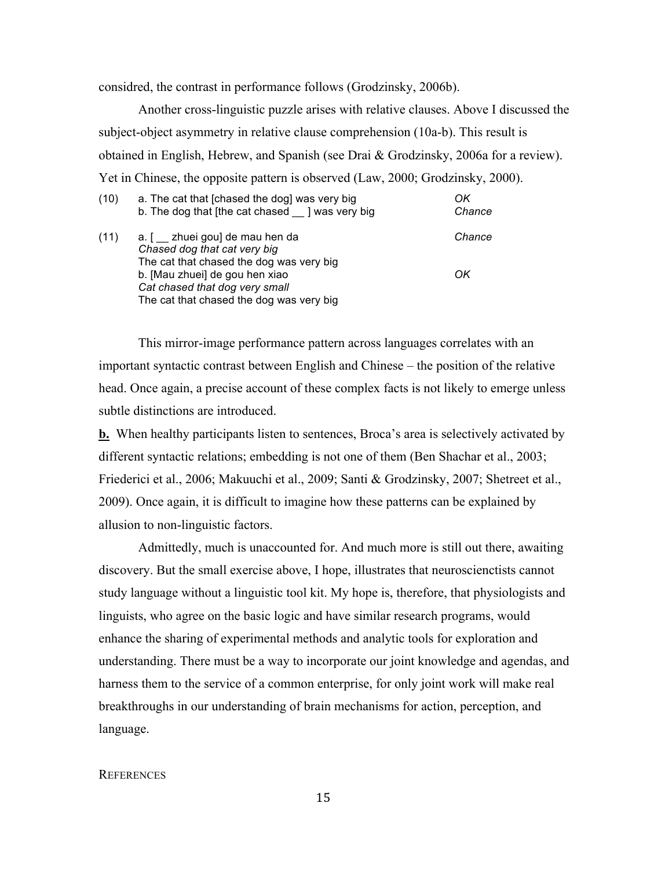considred, the contrast in performance follows (Grodzinsky, 2006b).

Another cross-linguistic puzzle arises with relative clauses. Above I discussed the subject-object asymmetry in relative clause comprehension (10a-b). This result is obtained in English, Hebrew, and Spanish (see Drai & Grodzinsky, 2006a for a review). Yet in Chinese, the opposite pattern is observed (Law, 2000; Grodzinsky, 2000).

| (10) | a. The cat that [chased the dog] was very big<br>b. The dog that [the cat chased _ ] was very big                                                                                                                           | OK<br>Chance |
|------|-----------------------------------------------------------------------------------------------------------------------------------------------------------------------------------------------------------------------------|--------------|
| (11) | a. [ _ zhuei gou] de mau hen da<br>Chased dog that cat very big<br>The cat that chased the dog was very big<br>b. [Mau zhuei] de gou hen xiao<br>Cat chased that dog very small<br>The cat that chased the dog was very big | Chance<br>OK |

This mirror-image performance pattern across languages correlates with an important syntactic contrast between English and Chinese – the position of the relative head. Once again, a precise account of these complex facts is not likely to emerge unless subtle distinctions are introduced.

**b.** When healthy participants listen to sentences, Broca's area is selectively activated by different syntactic relations; embedding is not one of them (Ben Shachar et al., 2003; Friederici et al., 2006; Makuuchi et al., 2009; Santi & Grodzinsky, 2007; Shetreet et al., 2009). Once again, it is difficult to imagine how these patterns can be explained by allusion to non-linguistic factors.

Admittedly, much is unaccounted for. And much more is still out there, awaiting discovery. But the small exercise above, I hope, illustrates that neuroscienctists cannot study language without a linguistic tool kit. My hope is, therefore, that physiologists and linguists, who agree on the basic logic and have similar research programs, would enhance the sharing of experimental methods and analytic tools for exploration and understanding. There must be a way to incorporate our joint knowledge and agendas, and harness them to the service of a common enterprise, for only joint work will make real breakthroughs in our understanding of brain mechanisms for action, perception, and language.

### **REFERENCES**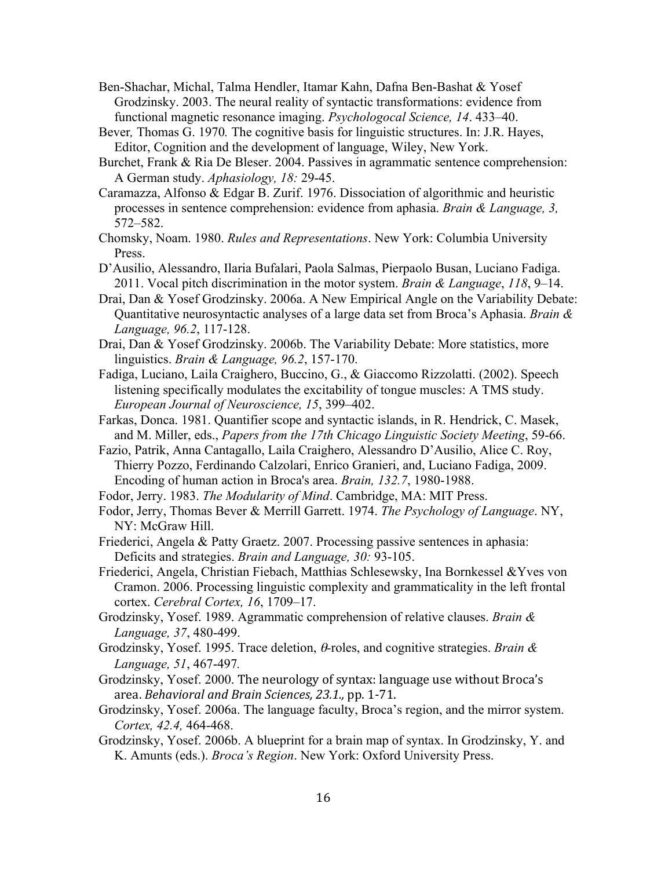- Ben-Shachar, Michal, Talma Hendler, Itamar Kahn, Dafna Ben-Bashat & Yosef Grodzinsky. 2003. The neural reality of syntactic transformations: evidence from functional magnetic resonance imaging. *Psychologocal Science, 14*. 433–40.
- Bever*,* Thomas G. 1970*.* The cognitive basis for linguistic structures. In: J.R. Hayes, Editor, Cognition and the development of language, Wiley, New York.
- Burchet, Frank & Ria De Bleser. 2004. Passives in agrammatic sentence comprehension: A German study. *Aphasiology, 18:* 29-45.
- Caramazza, Alfonso & Edgar B. Zurif. 1976. Dissociation of algorithmic and heuristic processes in sentence comprehension: evidence from aphasia. *Brain & Language, 3,* 572–582.
- Chomsky, Noam. 1980. *Rules and Representations*. New York: Columbia University Press.
- D'Ausilio, Alessandro, Ilaria Bufalari, Paola Salmas, Pierpaolo Busan, Luciano Fadiga. 2011. Vocal pitch discrimination in the motor system. *Brain & Language*, *118*, 9–14.
- Drai, Dan & Yosef Grodzinsky. 2006a. A New Empirical Angle on the Variability Debate: Quantitative neurosyntactic analyses of a large data set from Broca's Aphasia. *Brain & Language, 96.2*, 117-128.
- Drai, Dan & Yosef Grodzinsky. 2006b. The Variability Debate: More statistics, more linguistics. *Brain & Language, 96.2*, 157-170.
- Fadiga, Luciano, Laila Craighero, Buccino, G., & Giaccomo Rizzolatti. (2002). Speech listening specifically modulates the excitability of tongue muscles: A TMS study. *European Journal of Neuroscience, 15*, 399–402.
- Farkas, Donca. 1981. Quantifier scope and syntactic islands, in R. Hendrick, C. Masek, and M. Miller, eds., *Papers from the 17th Chicago Linguistic Society Meeting*, 59-66.
- Fazio, Patrik, Anna Cantagallo, Laila Craighero, Alessandro D'Ausilio, Alice C. Roy, Thierry Pozzo, Ferdinando Calzolari, Enrico Granieri, and, Luciano Fadiga, 2009. Encoding of human action in Broca's area. *Brain, 132.7*, 1980-1988.
- Fodor, Jerry. 1983. *The Modularity of Mind*. Cambridge, MA: MIT Press.
- Fodor, Jerry, Thomas Bever & Merrill Garrett. 1974. *The Psychology of Language*. NY, NY: McGraw Hill.
- Friederici, Angela & Patty Graetz. 2007. Processing passive sentences in aphasia: Deficits and strategies. *Brain and Language, 30:* 93-105.
- Friederici, Angela, Christian Fiebach, Matthias Schlesewsky, Ina Bornkessel &Yves von Cramon. 2006. Processing linguistic complexity and grammaticality in the left frontal cortex. *Cerebral Cortex, 16*, 1709–17.
- Grodzinsky, Yosef. 1989. Agrammatic comprehension of relative clauses. *Brain & Language, 37*, 480-499.
- Grodzinsky, Yosef. 1995. Trace deletion, θ*-*roles, and cognitive strategies. *Brain & Language, 51*, 467-497*.*
- Grodzinsky, Yosef. 2000. The neurology of syntax: language use without Broca's area. *Behavioral and Brain Sciences, 23.1.,* pp. 1-71.
- Grodzinsky, Yosef. 2006a. The language faculty, Broca's region, and the mirror system. *Cortex, 42.4,* 464-468.
- Grodzinsky, Yosef. 2006b. A blueprint for a brain map of syntax. In Grodzinsky, Y. and K. Amunts (eds.). *Broca's Region*. New York: Oxford University Press.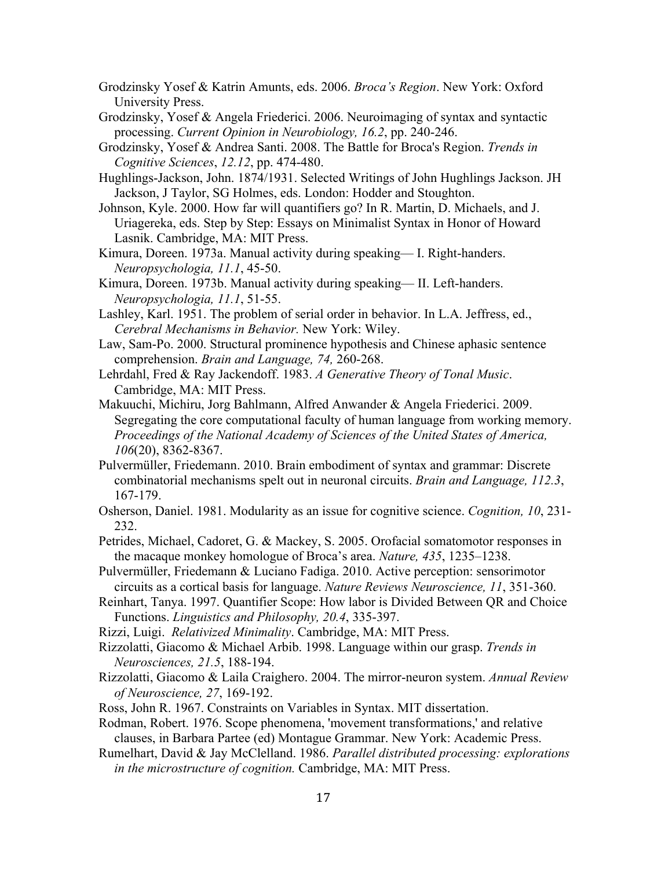- Grodzinsky Yosef & Katrin Amunts, eds. 2006. *Broca's Region*. New York: Oxford University Press.
- Grodzinsky, Yosef & Angela Friederici. 2006. Neuroimaging of syntax and syntactic processing. *Current Opinion in Neurobiology, 16.2*, pp. 240-246.
- Grodzinsky, Yosef & Andrea Santi. 2008. The Battle for Broca's Region. *Trends in Cognitive Sciences*, *12.12*, pp. 474-480.
- Hughlings-Jackson, John. 1874/1931. Selected Writings of John Hughlings Jackson. JH Jackson, J Taylor, SG Holmes, eds. London: Hodder and Stoughton.
- Johnson, Kyle. 2000. How far will quantifiers go? In R. Martin, D. Michaels, and J. Uriagereka, eds. Step by Step: Essays on Minimalist Syntax in Honor of Howard Lasnik. Cambridge, MA: MIT Press.
- Kimura, Doreen. 1973a. Manual activity during speaking— I. Right-handers. *Neuropsychologia, 11.1*, 45-50.
- Kimura, Doreen. 1973b. Manual activity during speaking— II. Left-handers. *Neuropsychologia, 11.1*, 51-55.
- Lashley, Karl. 1951. The problem of serial order in behavior. In L.A. Jeffress, ed., *Cerebral Mechanisms in Behavior.* New York: Wiley.
- Law, Sam-Po. 2000. Structural prominence hypothesis and Chinese aphasic sentence comprehension. *Brain and Language, 74,* 260-268.
- Lehrdahl, Fred & Ray Jackendoff. 1983. *A Generative Theory of Tonal Music*. Cambridge, MA: MIT Press.
- Makuuchi, Michiru, Jorg Bahlmann, Alfred Anwander & Angela Friederici. 2009. Segregating the core computational faculty of human language from working memory. *Proceedings of the National Academy of Sciences of the United States of America, 106*(20), 8362-8367.
- Pulvermüller, Friedemann. 2010. Brain embodiment of syntax and grammar: Discrete combinatorial mechanisms spelt out in neuronal circuits. *Brain and Language, 112.3*, 167-179.
- Osherson, Daniel. 1981. Modularity as an issue for cognitive science. *Cognition, 10*, 231- 232.
- Petrides, Michael, Cadoret, G. & Mackey, S. 2005. Orofacial somatomotor responses in the macaque monkey homologue of Broca's area. *Nature, 435*, 1235–1238.
- Pulvermüller, Friedemann & Luciano Fadiga. 2010. Active perception: sensorimotor circuits as a cortical basis for language. *Nature Reviews Neuroscience, 11*, 351-360.
- Reinhart, Tanya. 1997. Quantifier Scope: How labor is Divided Between QR and Choice Functions. *Linguistics and Philosophy, 20.4*, 335-397.
- Rizzi, Luigi. *Relativized Minimality*. Cambridge, MA: MIT Press.
- Rizzolatti, Giacomo & Michael Arbib. 1998. Language within our grasp. *Trends in Neurosciences, 21.5*, 188-194.
- Rizzolatti, Giacomo & Laila Craighero. 2004. The mirror-neuron system. *Annual Review of Neuroscience, 27*, 169-192.
- Ross, John R. 1967. Constraints on Variables in Syntax. MIT dissertation.
- Rodman, Robert. 1976. Scope phenomena, 'movement transformations,' and relative clauses, in Barbara Partee (ed) Montague Grammar. New York: Academic Press.
- Rumelhart, David & Jay McClelland. 1986. *Parallel distributed processing: explorations in the microstructure of cognition.* Cambridge, MA: MIT Press.